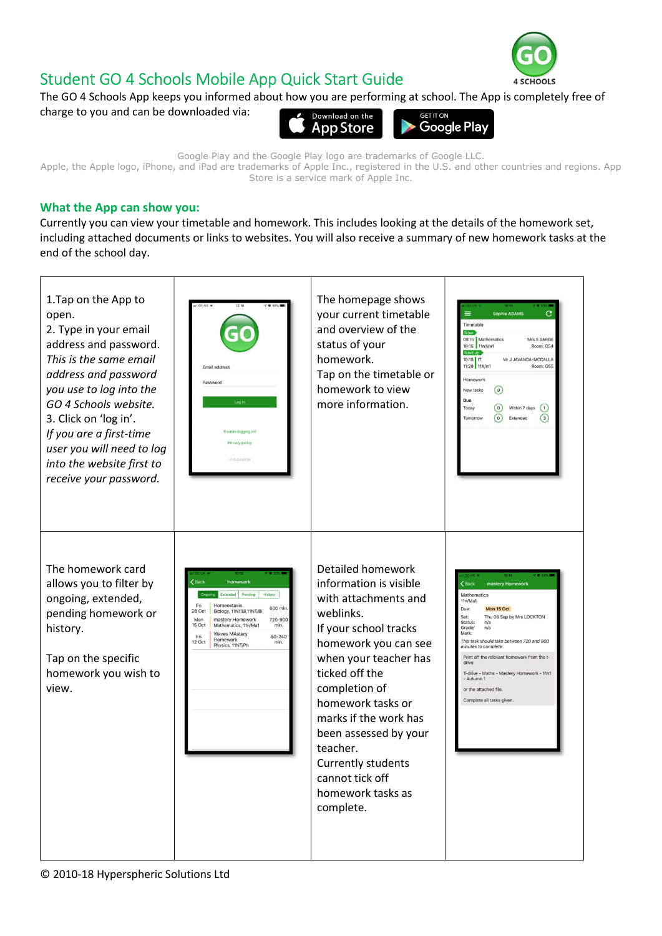## Student GO 4 Schools Mobile App Quick Start Guide



The GO 4 Schools App keeps you informed about how you are performing at school. The App is completely free of charge to you and can be downloaded via: Download on the **ET IT ON** 



Google Play and the Google Play logo are trademarks of Google LLC. Apple, the Apple logo, iPhone, and iPad are trademarks of Apple Inc., registered in the U.S. and other countries and regions. App Store is a service mark of Apple Inc.

## What the App can show you:

Currently you can view your timetable and homework. This includes looking at the details of the homework set, including attached documents or links to websites. You will also receive a summary of new homework tasks at the end of the school day.